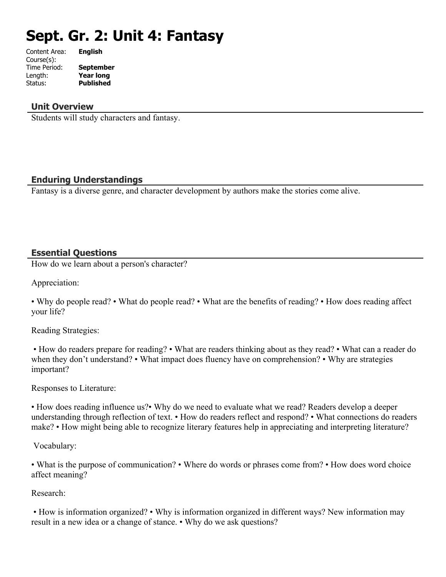# **Sept. Gr. 2: Unit 4: Fantasy**

| Content Area: | <b>English</b>   |
|---------------|------------------|
| Course(s):    |                  |
| Time Period:  | <b>September</b> |
| Length:       | <b>Year long</b> |
| Status:       | <b>Published</b> |
|               |                  |

#### **Unit Overview**

Students will study characters and fantasy.

# **Enduring Understandings**

Fantasy is a diverse genre, and character development by authors make the stories come alive.

# **Essential Questions**

How do we learn about a person's character?

Appreciation:

• Why do people read? • What do people read? • What are the benefits of reading? • How does reading affect your life?

Reading Strategies:

 • How do readers prepare for reading? • What are readers thinking about as they read? • What can a reader do when they don't understand? • What impact does fluency have on comprehension? • Why are strategies important?

Responses to Literature:

• How does reading influence us?• Why do we need to evaluate what we read? Readers develop a deeper understanding through reflection of text. • How do readers reflect and respond? • What connections do readers make? • How might being able to recognize literary features help in appreciating and interpreting literature?

Vocabulary:

• What is the purpose of communication? • Where do words or phrases come from? • How does word choice affect meaning?

Research:

 • How is information organized? • Why is information organized in different ways? New information may result in a new idea or a change of stance. • Why do we ask questions?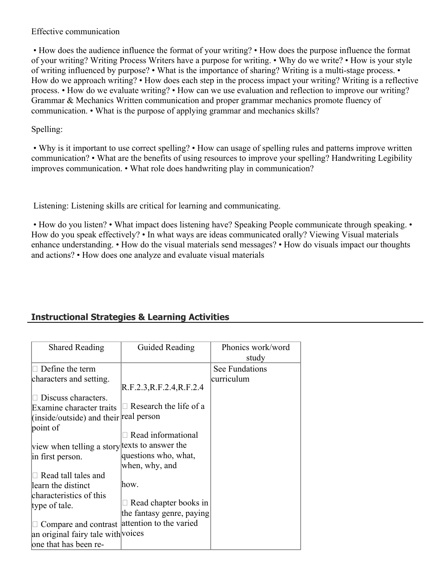#### Effective communication

 • How does the audience influence the format of your writing? • How does the purpose influence the format of your writing? Writing Process Writers have a purpose for writing. • Why do we write? • How is your style of writing influenced by purpose? • What is the importance of sharing? Writing is a multi-stage process. • How do we approach writing? • How does each step in the process impact your writing? Writing is a reflective process. • How do we evaluate writing? • How can we use evaluation and reflection to improve our writing? Grammar & Mechanics Written communication and proper grammar mechanics promote fluency of communication. • What is the purpose of applying grammar and mechanics skills?

# Spelling:

 • Why is it important to use correct spelling? • How can usage of spelling rules and patterns improve written communication? • What are the benefits of using resources to improve your spelling? Handwriting Legibility improves communication. • What role does handwriting play in communication?

Listening: Listening skills are critical for learning and communicating.

• How do you listen? • What impact does listening have? Speaking People communicate through speaking. • How do you speak effectively? • In what ways are ideas communicated orally? Viewing Visual materials enhance understanding. • How do the visual materials send messages? • How do visuals impact our thoughts and actions? • How does one analyze and evaluate visual materials

# **Instructional Strategies & Learning Activities**

| <b>Shared Reading</b>                         | Guided Reading                | Phonics work/word<br>study |
|-----------------------------------------------|-------------------------------|----------------------------|
| Define the term                               |                               | See Fundations             |
| characters and setting.                       |                               | curriculum                 |
|                                               | R.F.2.3, R.F.2.4, R.F.2.4     |                            |
| Discuss characters.                           |                               |                            |
| Examine character traits                      | $\Box$ Research the life of a |                            |
| (inside/outside) and their real person        |                               |                            |
| point of                                      |                               |                            |
|                                               | Read informational            |                            |
| view when telling a story texts to answer the |                               |                            |
| in first person.                              | questions who, what,          |                            |
|                                               | when, why, and                |                            |
| Read tall tales and                           |                               |                            |
| learn the distinct                            | how.                          |                            |
| characteristics of this                       |                               |                            |
| type of tale.                                 | Read chapter books in         |                            |
|                                               | the fantasy genre, paying     |                            |
| Compare and contrast                          | attention to the varied       |                            |
| an original fairy tale with voices            |                               |                            |
| one that has been re-                         |                               |                            |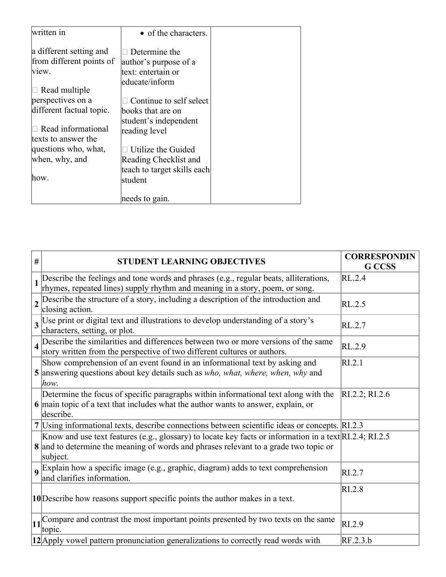| written in               | • of the characters.        |  |
|--------------------------|-----------------------------|--|
| a different setting and  | Determine the               |  |
| from different points of | author's purpose of a       |  |
| view.                    | text: entertain or          |  |
|                          | educate/inform              |  |
| Read multiple            |                             |  |
| perspectives on a        | Continue to self select     |  |
| different factual topic. | books that are on           |  |
|                          | student's independent       |  |
| Read informational       | reading level               |  |
| texts to answer the      |                             |  |
| questions who, what,     | Utilize the Guided          |  |
| when, why, and           | Reading Checklist and       |  |
|                          | teach to target skills each |  |
| how.                     | student                     |  |
|                          |                             |  |
|                          | needs to gain.              |  |

| # | <b>STUDENT LEARNING OBJECTIVES</b>                                                                                                                                                                          | <b>CORRESPONDIN</b><br><b>G</b> CCSS |
|---|-------------------------------------------------------------------------------------------------------------------------------------------------------------------------------------------------------------|--------------------------------------|
|   | 1 Describe the feelings and tone words and phrases (e.g., regular beats, alliterations,<br>rhymes, repeated lines) supply rhythm and meaning in a story, poem, or song.                                     | RL.2.4                               |
|   | $2\sqrt{\frac{3}{1}}$ Describe the structure of a story, including a description of the introduction and<br>closing action.                                                                                 | RL.2.5                               |
|   | 3 Use print or digital text and illustrations to develop understanding of a story's<br>characters, setting, or plot.                                                                                        | RL.2.7                               |
|   | 4 Describe the similarities and differences between two or more versions of the same<br>story written from the perspective of two different cultures or authors.                                            | RL.2.9                               |
|   | Show comprehension of an event found in an informational text by asking and<br>5 answering questions about key details such as who, what, where, when, why and<br>how.                                      | RI.2.1                               |
|   | Determine the focus of specific paragraphs within informational text along with the<br>6 main topic of a text that includes what the author wants to answer, explain, or<br>describe.                       | RI.2.2; RI.2.6                       |
|   | 7 Using informational texts, describe connections between scientific ideas or concepts. RI.2.3                                                                                                              |                                      |
|   | Know and use text features (e.g., glossary) to locate key facts or information in a text RI.2.4; RI.2.5<br>8 and to determine the meaning of words and phrases relevant to a grade two topic or<br>subject. |                                      |
|   | <b>9</b> Explain how a specific image (e.g., graphic, diagram) adds to text comprehension<br>and clarifies information.                                                                                     | RI.2.7                               |
|   | 10 Describe how reasons support specific points the author makes in a text.                                                                                                                                 | RI.2.8                               |
|   | $\left 11\right $ Compare and contrast the most important points presented by two texts on the same<br>topic.                                                                                               | RI.2.9                               |
|   | 12 Apply vowel pattern pronunciation generalizations to correctly read words with                                                                                                                           | RF.2.3.b                             |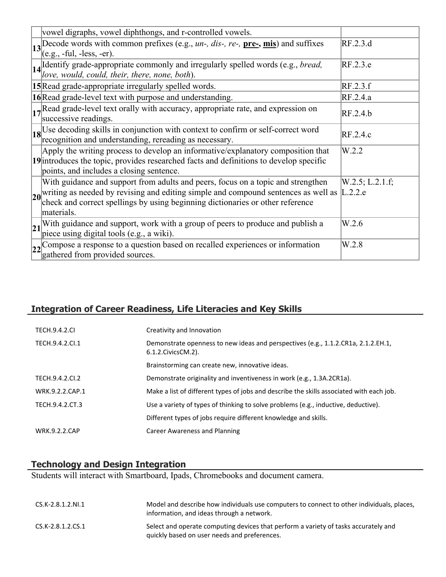|    | vowel digraphs, vowel diphthongs, and r-controlled vowels.                                                                                                                                                                                                                               |                    |
|----|------------------------------------------------------------------------------------------------------------------------------------------------------------------------------------------------------------------------------------------------------------------------------------------|--------------------|
|    | $\left 13\right $ Decode words with common prefixes (e.g., <i>un-, dis-, re-, pre-, mis)</i> and suffixes<br>$\vert$ (e.g., -ful, -less, -er).                                                                                                                                           | RF.2.3.d           |
|    | 14 Identify grade-appropriate commonly and irregularly spelled words (e.g., <i>bread</i> , love, would, could, their, there, none, both).                                                                                                                                                | RF.2.3.e           |
|    | 15 Read grade-appropriate irregularly spelled words.                                                                                                                                                                                                                                     | RF.2.3.f           |
|    | 16 Read grade-level text with purpose and understanding.                                                                                                                                                                                                                                 | RF.2.4.a           |
|    | $\left  \frac{1}{2} \right $ Read grade-level text orally with accuracy, appropriate rate, and expression on<br>successive readings.                                                                                                                                                     | RF.2.4.b           |
|    | 18 Use decoding skills in conjunction with context to confirm or self-correct word recognition and understanding, rereading as necessary.                                                                                                                                                | RF.2.4.c           |
|    | Apply the writing process to develop an informative/explanatory composition that<br>19 introduces the topic, provides researched facts and definitions to develop specific<br>points, and includes a closing sentence.                                                                   | W.2.2              |
|    | With guidance and support from adults and peers, focus on a topic and strengthen<br>$20$ writing as needed by revising and editing simple and compound sentences as well as $\Big $ L.2.2.e check and correct spellings by using beginning dictionaries or other reference<br>materials. | $W.2.5$ ; L.2.1.f; |
| 21 | With guidance and support, work with a group of peers to produce and publish a piece using digital tools (e.g., a wiki).                                                                                                                                                                 | W.2.6              |
|    | $\sqrt{22}$ Compose a response to a question based on recalled experiences or information<br>gathered from provided sources.                                                                                                                                                             | W.2.8              |

# **Integration of Career Readiness, Life Literacies and Key Skills**

| <b>TECH.9.4.2.CL</b> | Creativity and Innovation                                                                                        |
|----------------------|------------------------------------------------------------------------------------------------------------------|
| TECH.9.4.2.Cl.1      | Demonstrate openness to new ideas and perspectives (e.g., 1.1.2.CR1a, 2.1.2.EH.1,<br>$6.1.2$ . Civics CM. $2$ ). |
|                      | Brainstorming can create new, innovative ideas.                                                                  |
| TECH.9.4.2.CI.2      | Demonstrate originality and inventiveness in work (e.g., 1.3A.2CR1a).                                            |
| WRK.9.2.2.CAP.1      | Make a list of different types of jobs and describe the skills associated with each job.                         |
| TECH.9.4.2.CT.3      | Use a variety of types of thinking to solve problems (e.g., inductive, deductive).                               |
|                      | Different types of jobs require different knowledge and skills.                                                  |
| <b>WRK.9.2.2.CAP</b> | Career Awareness and Planning                                                                                    |

# **Technology and Design Integration**

Students will interact with Smartboard, Ipads, Chromebooks and document camera.

| $CS.K-2.8.1.2.NI.1$ | Model and describe how individuals use computers to connect to other individuals, places,<br>information, and ideas through a network. |
|---------------------|----------------------------------------------------------------------------------------------------------------------------------------|
| CS.K-2.8.1.2.CS.1   | Select and operate computing devices that perform a variety of tasks accurately and<br>quickly based on user needs and preferences.    |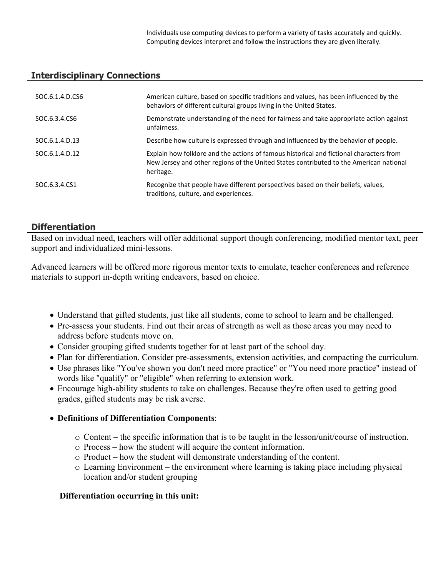Individuals use computing devices to perform a variety of tasks accurately and quickly. Computing devices interpret and follow the instructions they are given literally.

# **Interdisciplinary Connections**

| SOC.6.1.4.D.CS6 | American culture, based on specific traditions and values, has been influenced by the<br>behaviors of different cultural groups living in the United States.                                   |
|-----------------|------------------------------------------------------------------------------------------------------------------------------------------------------------------------------------------------|
| SOC.6.3.4.CS6   | Demonstrate understanding of the need for fairness and take appropriate action against<br>unfairness.                                                                                          |
| SOC.6.1.4.D.13  | Describe how culture is expressed through and influenced by the behavior of people.                                                                                                            |
| SOC.6.1.4.D.12  | Explain how folklore and the actions of famous historical and fictional characters from<br>New Jersey and other regions of the United States contributed to the American national<br>heritage. |
| SOC.6.3.4.CS1   | Recognize that people have different perspectives based on their beliefs, values,<br>traditions, culture, and experiences.                                                                     |

# **Differentiation**

Based on invidual need, teachers will offer additional support though conferencing, modified mentor text, peer support and individualized mini-lessons.

Advanced learners will be offered more rigorous mentor texts to emulate, teacher conferences and reference materials to support in-depth writing endeavors, based on choice.

- Understand that gifted students, just like all students, come to school to learn and be challenged.
- Pre-assess your students. Find out their areas of strength as well as those areas you may need to address before students move on.
- Consider grouping gifted students together for at least part of the school day.
- Plan for differentiation. Consider pre-assessments, extension activities, and compacting the curriculum.
- Use phrases like "You've shown you don't need more practice" or "You need more practice" instead of words like "qualify" or "eligible" when referring to extension work.
- Encourage high-ability students to take on challenges. Because they're often used to getting good grades, gifted students may be risk averse.
- **Definitions of Differentiation Components**:
	- o Content the specific information that is to be taught in the lesson/unit/course of instruction.
	- o Process how the student will acquire the content information.
	- o Product how the student will demonstrate understanding of the content.
	- $\circ$  Learning Environment the environment where learning is taking place including physical location and/or student grouping

#### **Differentiation occurring in this unit:**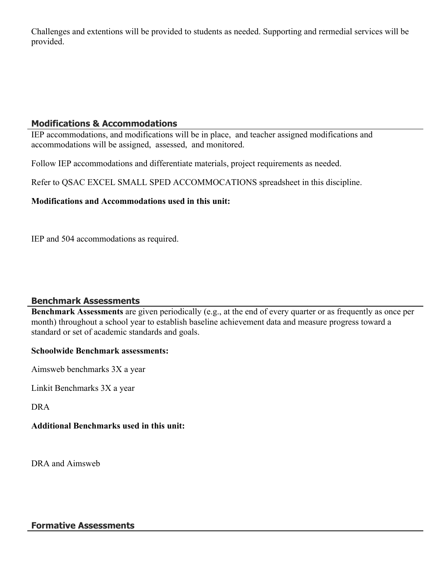Challenges and extentions will be provided to students as needed. Supporting and rermedial services will be provided.

# **Modifications & Accommodations**

IEP accommodations, and modifications will be in place, and teacher assigned modifications and accommodations will be assigned, assessed, and monitored.

Follow IEP accommodations and differentiate materials, project requirements as needed.

Refer to QSAC EXCEL SMALL SPED ACCOMMOCATIONS spreadsheet in this discipline.

# **Modifications and Accommodations used in this unit:**

IEP and 504 accommodations as required.

# **Benchmark Assessments**

**Benchmark Assessments** are given periodically (e.g., at the end of every quarter or as frequently as once per month) throughout a school year to establish baseline achievement data and measure progress toward a standard or set of academic standards and goals.

#### **Schoolwide Benchmark assessments:**

Aimsweb benchmarks 3X a year

Linkit Benchmarks 3X a year

DRA

# **Additional Benchmarks used in this unit:**

DRA and Aimsweb

#### **Formative Assessments**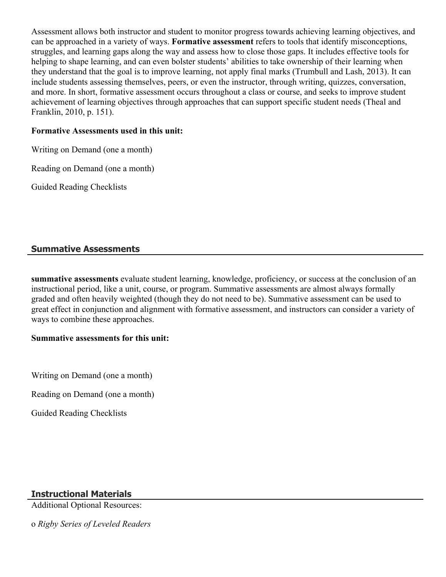Assessment allows both instructor and student to monitor progress towards achieving learning objectives, and can be approached in a variety of ways. **Formative assessment** refers to tools that identify misconceptions, struggles, and learning gaps along the way and assess how to close those gaps. It includes effective tools for helping to shape learning, and can even bolster students' abilities to take ownership of their learning when they understand that the goal is to improve learning, not apply final marks (Trumbull and Lash, 2013). It can include students assessing themselves, peers, or even the instructor, through writing, quizzes, conversation, and more. In short, formative assessment occurs throughout a class or course, and seeks to improve student achievement of learning objectives through approaches that can support specific student needs (Theal and Franklin, 2010, p. 151).

#### **Formative Assessments used in this unit:**

Writing on Demand (one a month)

Reading on Demand (one a month)

Guided Reading Checklists

# **Summative Assessments**

**summative assessments** evaluate student learning, knowledge, proficiency, or success at the conclusion of an instructional period, like a unit, course, or program. Summative assessments are almost always formally graded and often heavily weighted (though they do not need to be). Summative assessment can be used to great effect in conjunction and alignment with formative assessment, and instructors can consider a variety of ways to combine these approaches.

#### **Summative assessments for this unit:**

Writing on Demand (one a month)

Reading on Demand (one a month)

Guided Reading Checklists

# **Instructional Materials**

Additional Optional Resources:

o *Rigby Series of Leveled Readers*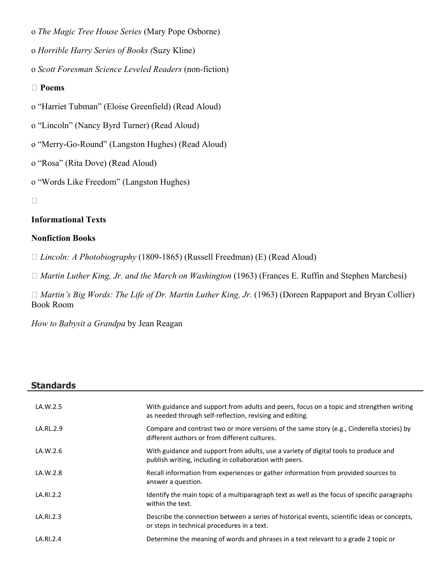- o *The Magic Tree House Series* (Mary Pope Osborne)
- o *Horrible Harry Series of Books (*Suzy Kline)
- o *Scott Foresman Science Leveled Readers* (non-fiction)

#### **Poems**

- o "Harriet Tubman" (Eloise Greenfield) (Read Aloud)
- o "Lincoln" (Nancy Byrd Turner) (Read Aloud)
- o "Merry-Go-Round" (Langston Hughes) (Read Aloud)
- o "Rosa" (Rita Dove) (Read Aloud)
- o "Words Like Freedom" (Langston Hughes)

 $\Box$ 

# **Informational Texts**

#### **Nonfiction Books**

*Lincoln: A Photobiography* (1809-1865) (Russell Freedman) (E) (Read Aloud)

□ *Martin Luther King, Jr. and the March on Washington* (1963) (Frances E. Ruffin and Stephen Marchesi)

□ *Martin's Big Words: The Life of Dr. Martin Luther King, Jr.* (1963) (Doreen Rappaport and Bryan Collier) Book Room

*How to Babysit a Grandpa* by Jean Reagan

| <b>Standards</b> |                                                                                                                                                      |
|------------------|------------------------------------------------------------------------------------------------------------------------------------------------------|
| LA.W.2.5         | With guidance and support from adults and peers, focus on a topic and strengthen writing<br>as needed through self-reflection, revising and editing. |
| LA.RL.2.9        | Compare and contrast two or more versions of the same story (e.g., Cinderella stories) by<br>different authors or from different cultures.           |
| LA.W.2.6         | With guidance and support from adults, use a variety of digital tools to produce and<br>publish writing, including in collaboration with peers.      |
| LA.W.2.8         | Recall information from experiences or gather information from provided sources to<br>answer a question.                                             |
| LA.RI.2.2        | Identify the main topic of a multiparagraph text as well as the focus of specific paragraphs<br>within the text.                                     |
| LA.RI.2.3        | Describe the connection between a series of historical events, scientific ideas or concepts,<br>or steps in technical procedures in a text.          |
| LA.RI.2.4        | Determine the meaning of words and phrases in a text relevant to a grade 2 topic or                                                                  |